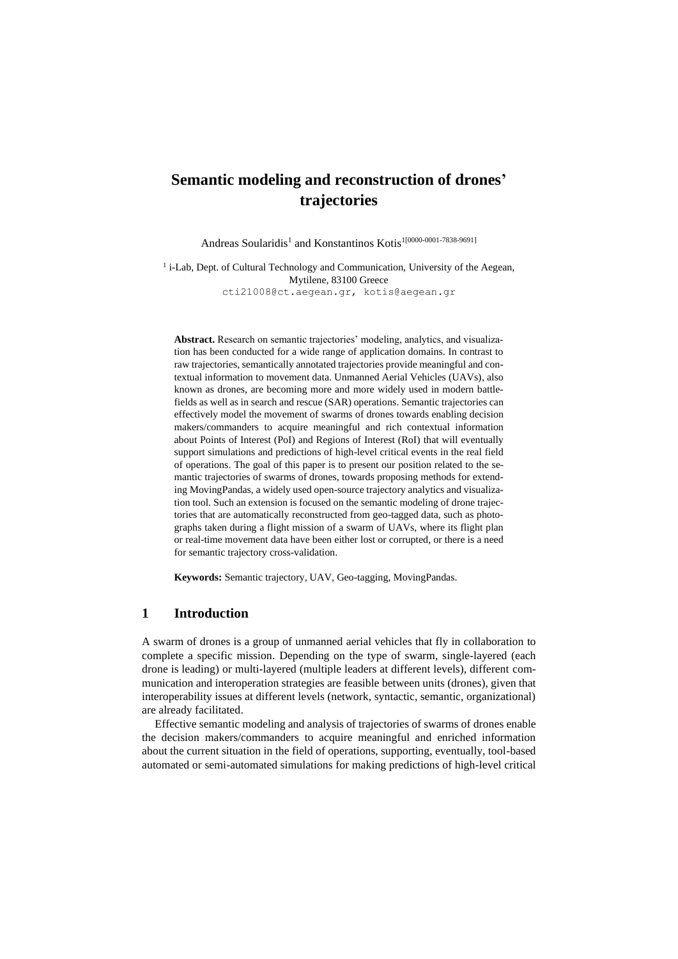# **Semantic modeling and reconstruction of drones' trajectories**

Andreas Soularidis<sup>1</sup> and Konstantinos Kotis<sup>1[0000-0001-7838-9691]</sup>

<sup>1</sup> i-Lab, Dept. of Cultural Technology and Communication, University of the Aegean, Mytilene, 83100 Greece [cti21008@ct.aegean.gr,](mailto:cti21008@ct.aegean.gr) kotis@aegean.gr

**Abstract.** Research on semantic trajectories' modeling, analytics, and visualization has been conducted for a wide range of application domains. In contrast to raw trajectories, semantically annotated trajectories provide meaningful and contextual information to movement data. Unmanned Aerial Vehicles (UAVs), also known as drones, are becoming more and more widely used in modern battlefields as well as in search and rescue (SAR) operations. Semantic trajectories can effectively model the movement of swarms of drones towards enabling decision makers/commanders to acquire meaningful and rich contextual information about Points of Interest (PoI) and Regions of Interest (RoI) that will eventually support simulations and predictions of high-level critical events in the real field of operations. The goal of this paper is to present our position related to the semantic trajectories of swarms of drones, towards proposing methods for extending MovingPandas, a widely used open-source trajectory analytics and visualization tool. Such an extension is focused on the semantic modeling of drone trajectories that are automatically reconstructed from geo-tagged data, such as photographs taken during a flight mission of a swarm of UAVs, where its flight plan or real-time movement data have been either lost or corrupted, or there is a need for semantic trajectory cross-validation.

**Keywords:** Semantic trajectory, UAV, Geo-tagging, MovingPandas.

### **1 Introduction**

A swarm of drones is a group of unmanned aerial vehicles that fly in collaboration to complete a specific mission. Depending on the type of swarm, single-layered (each drone is leading) or multi-layered (multiple leaders at different levels), different communication and interoperation strategies are feasible between units (drones), given that interoperability issues at different levels (network, syntactic, semantic, organizational) are already facilitated.

Effective semantic modeling and analysis of trajectories of swarms of drones enable the decision makers/commanders to acquire meaningful and enriched information about the current situation in the field of operations, supporting, eventually, tool-based automated or semi-automated simulations for making predictions of high-level critical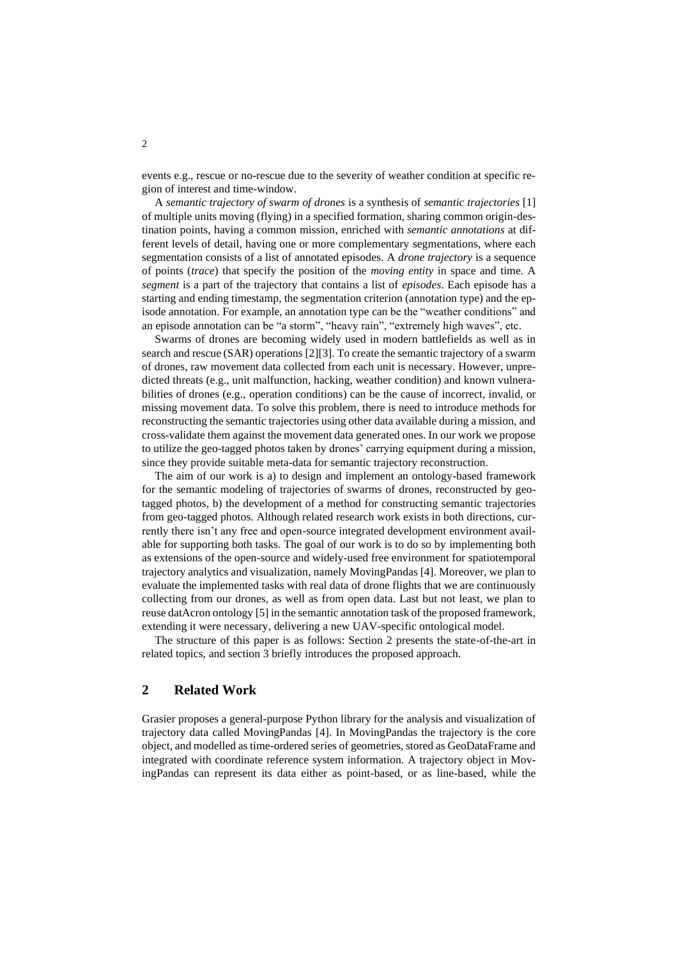events e.g., rescue or no-rescue due to the severity of weather condition at specific region of interest and time-window.

A *semantic trajectory of swarm of drones* is a synthesis of *semantic trajectories* [1] of multiple units moving (flying) in a specified formation, sharing common origin-destination points, having a common mission, enriched with *semantic annotations* at different levels of detail, having one or more complementary segmentations, where each segmentation consists of a list of annotated episodes. A *drone trajectory* is a sequence of points (*trace*) that specify the position of the *moving entity* in space and time. A *segment* is a part of the trajectory that contains a list of *episodes*. Each episode has a starting and ending timestamp, the segmentation criterion (annotation type) and the episode annotation. For example, an annotation type can be the "weather conditions" and an episode annotation can be "a storm", "heavy rain", "extremely high waves", etc.

Swarms of drones are becoming widely used in modern battlefields as well as in search and rescue (SAR) operations [2][3]. To create the semantic trajectory of a swarm of drones, raw movement data collected from each unit is necessary. However, unpredicted threats (e.g., unit malfunction, hacking, weather condition) and known vulnerabilities of drones (e.g., operation conditions) can be the cause of incorrect, invalid, or missing movement data. To solve this problem, there is need to introduce methods for reconstructing the semantic trajectories using other data available during a mission, and cross-validate them against the movement data generated ones. In our work we propose to utilize the geo-tagged photos taken by drones' carrying equipment during a mission, since they provide suitable meta-data for semantic trajectory reconstruction.

The aim of our work is a) to design and implement an ontology-based framework for the semantic modeling of trajectories of swarms of drones, reconstructed by geotagged photos, b) the development of a method for constructing semantic trajectories from geo-tagged photos. Although related research work exists in both directions, currently there isn't any free and open-source integrated development environment available for supporting both tasks. The goal of our work is to do so by implementing both as extensions of the open-source and widely-used free environment for spatiotemporal trajectory analytics and visualization, namely MovingPandas [4]. Moreover, we plan to evaluate the implemented tasks with real data of drone flights that we are continuously collecting from our drones, as well as from open data. Last but not least, we plan to reuse datAcron ontology [5] in the semantic annotation task of the proposed framework, extending it were necessary, delivering a new UAV-specific ontological model.

The structure of this paper is as follows: Section 2 presents the state-of-the-art in related topics, and section 3 briefly introduces the proposed approach.

#### **2 Related Work**

Grasier proposes a general-purpose Python library for the analysis and visualization of trajectory data called MovingPandas [4]. In MovingPandas the trajectory is the core object, and modelled as time-ordered series of geometries, stored as GeoDataFrame and integrated with coordinate reference system information. A trajectory object in MovingPandas can represent its data either as point-based, or as line-based, while the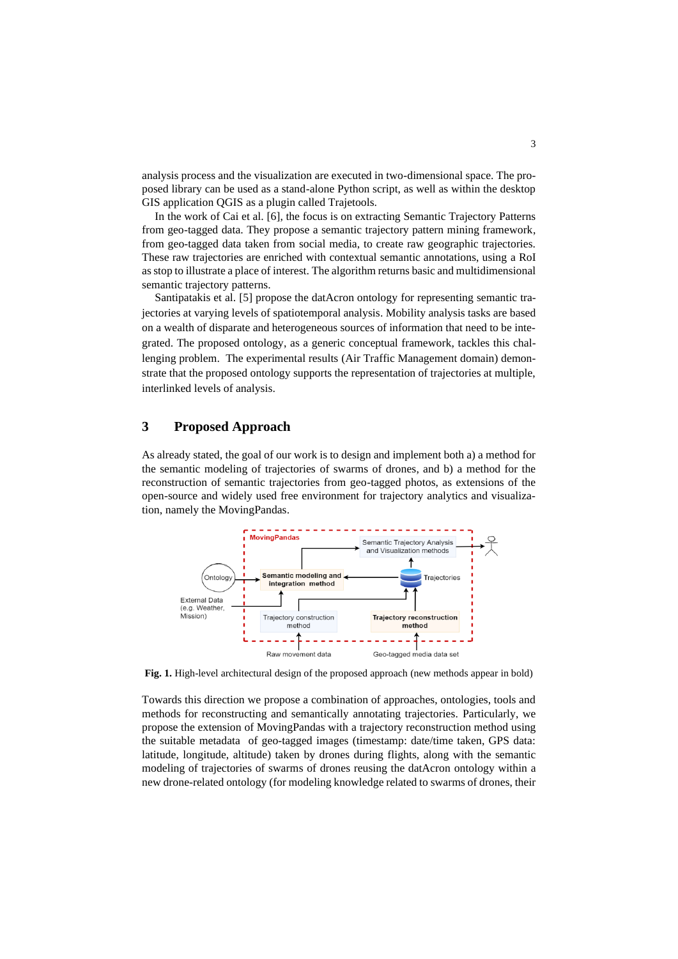analysis process and the visualization are executed in two-dimensional space. The proposed library can be used as a stand-alone Python script, as well as within the desktop GIS application QGIS as a plugin called Trajetools.

In the work of Cai et al. [6], the focus is on extracting Semantic Trajectory Patterns from geo-tagged data. They propose a semantic trajectory pattern mining framework, from geo-tagged data taken from social media, to create raw geographic trajectories. These raw trajectories are enriched with contextual semantic annotations, using a RoI as stop to illustrate a place of interest. The algorithm returns basic and multidimensional semantic trajectory patterns.

Santipatakis et al. [5] propose the datAcron ontology for representing semantic trajectories at varying levels of spatiotemporal analysis. Mobility analysis tasks are based on a wealth of disparate and heterogeneous sources of information that need to be integrated. The proposed ontology, as a generic conceptual framework, tackles this challenging problem. The experimental results (Air Traffic Management domain) demonstrate that the proposed ontology supports the representation of trajectories at multiple, interlinked levels of analysis.

#### **3 Proposed Approach**

As already stated, the goal of our work is to design and implement both a) a method for the semantic modeling of trajectories of swarms of drones, and b) a method for the reconstruction of semantic trajectories from geo-tagged photos, as extensions of the open-source and widely used free environment for trajectory analytics and visualization, namely the MovingPandas.



**Fig. 1.** High-level architectural design of the proposed approach (new methods appear in bold)

Towards this direction we propose a combination of approaches, ontologies, tools and methods for reconstructing and semantically annotating trajectories. Particularly, we propose the extension of MovingPandas with a trajectory reconstruction method using the suitable metadata of geo-tagged images (timestamp: date/time taken, GPS data: latitude, longitude, altitude) taken by drones during flights, along with the semantic modeling of trajectories of swarms of drones reusing the datAcron ontology within a new drone-related ontology (for modeling knowledge related to swarms of drones, their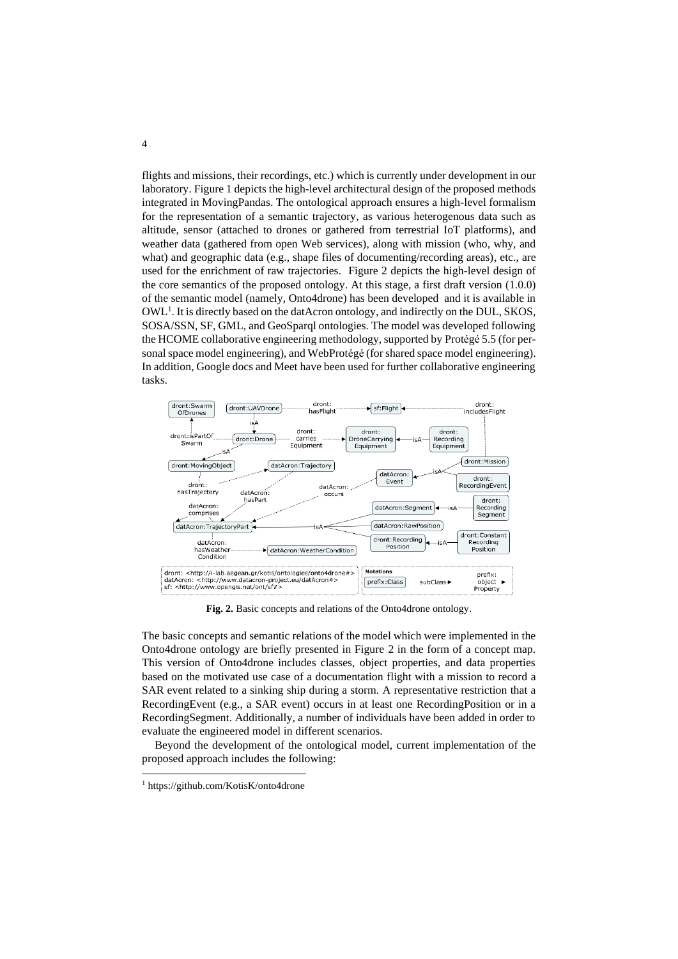flights and missions, their recordings, etc.) which is currently under development in our laboratory. Figure 1 depicts the high-level architectural design of the proposed methods integrated in MovingPandas. The ontological approach ensures a high-level formalism for the representation of a semantic trajectory, as various heterogenous data such as altitude, sensor (attached to drones or gathered from terrestrial IoT platforms), and weather data (gathered from open Web services), along with mission (who, why, and what) and geographic data (e.g., shape files of documenting/recording areas), etc., are used for the enrichment of raw trajectories. Figure 2 depicts the high-level design of the core semantics of the proposed ontology. At this stage, a first draft version (1.0.0) of the semantic model (namely, Onto4drone) has been developed and it is available in  $OWL<sup>1</sup>$ . It is directly based on the datAcron ontology, and indirectly on the DUL, SKOS, SOSA/SSN, SF, GML, and GeoSparql ontologies. The model was developed following the HCOME collaborative engineering methodology, supported by Protégé 5.5 (for personal space model engineering), and WebProtégé (for shared space model engineering). In addition, Google docs and Meet have been used for further collaborative engineering tasks.



**Fig. 2.** Basic concepts and relations of the Onto4drone ontology.

The basic concepts and semantic relations of the model which were implemented in the Onto4drone ontology are briefly presented in Figure 2 in the form of a concept map. This version of Onto4drone includes classes, object properties, and data properties based on the motivated use case of a documentation flight with a mission to record a SAR event related to a sinking ship during a storm. A representative restriction that a RecordingEvent (e.g., a SAR event) occurs in at least one RecordingPosition or in a RecordingSegment. Additionally, a number of individuals have been added in order to evaluate the engineered model in different scenarios.

Beyond the development of the ontological model, current implementation of the proposed approach includes the following:

<sup>1</sup> <https://github.com/KotisK/onto4drone>